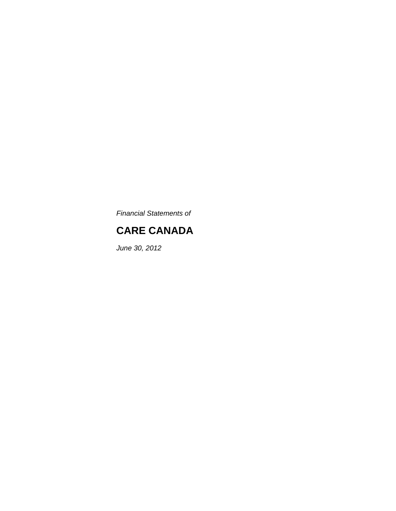*Financial Statements of*

# **CARE CANADA**

*June 30, 2012*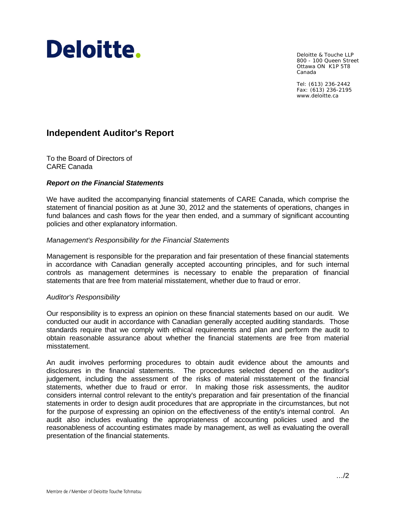# Deloitte.

Deloitte & Touche LLP 800 - 100 Queen Street Ottawa ON K1P 5T8 Canada

Tel: (613) 236-2442 Fax: (613) 236-2195 www.deloitte.ca

## **Independent Auditor's Report**

To the Board of Directors of CARE Canada

#### *Report on the Financial Statements*

We have audited the accompanying financial statements of CARE Canada, which comprise the statement of financial position as at June 30, 2012 and the statements of operations, changes in fund balances and cash flows for the year then ended, and a summary of significant accounting policies and other explanatory information.

#### *Management's Responsibility for the Financial Statements*

Management is responsible for the preparation and fair presentation of these financial statements in accordance with Canadian generally accepted accounting principles, and for such internal controls as management determines is necessary to enable the preparation of financial statements that are free from material misstatement, whether due to fraud or error.

#### *Auditor's Responsibility*

Our responsibility is to express an opinion on these financial statements based on our audit. We conducted our audit in accordance with Canadian generally accepted auditing standards. Those standards require that we comply with ethical requirements and plan and perform the audit to obtain reasonable assurance about whether the financial statements are free from material misstatement.

An audit involves performing procedures to obtain audit evidence about the amounts and disclosures in the financial statements. The procedures selected depend on the auditor's judgement, including the assessment of the risks of material misstatement of the financial statements, whether due to fraud or error. In making those risk assessments, the auditor considers internal control relevant to the entity's preparation and fair presentation of the financial statements in order to design audit procedures that are appropriate in the circumstances, but not for the purpose of expressing an opinion on the effectiveness of the entity's internal control. An audit also includes evaluating the appropriateness of accounting policies used and the reasonableness of accounting estimates made by management, as well as evaluating the overall presentation of the financial statements.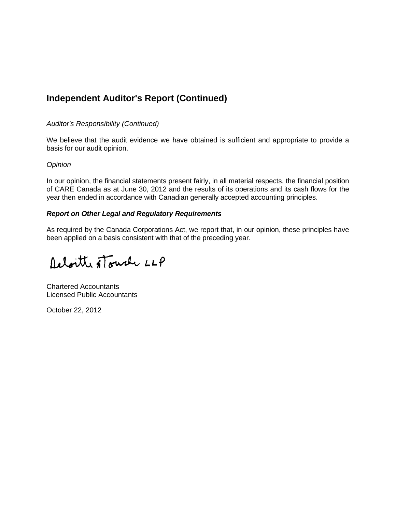# **Independent Auditor's Report (Continued)**

#### *Auditor's Responsibility (Continued)*

We believe that the audit evidence we have obtained is sufficient and appropriate to provide a basis for our audit opinion.

#### *Opinion*

In our opinion, the financial statements present fairly, in all material respects, the financial position of CARE Canada as at June 30, 2012 and the results of its operations and its cash flows for the year then ended in accordance with Canadian generally accepted accounting principles.

#### *Report on Other Legal and Regulatory Requirements*

As required by the Canada Corporations Act, we report that, in our opinion, these principles have been applied on a basis consistent with that of the preceding year.

Deloitte stouch LLP

Chartered Accountants Licensed Public Accountants

October 22, 2012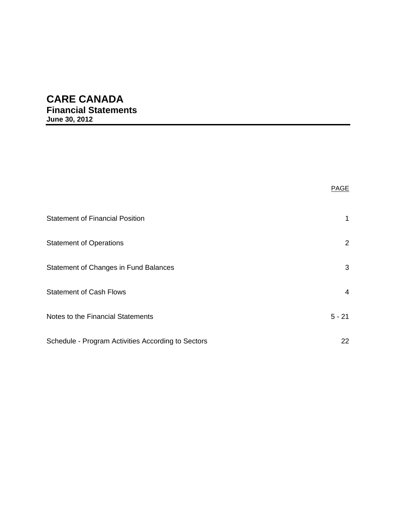# **CARE CANADA**

**Financial Statements June 30, 2012** 

| <b>Statement of Financial Position</b>             | 1              |
|----------------------------------------------------|----------------|
| <b>Statement of Operations</b>                     | $\overline{2}$ |
| Statement of Changes in Fund Balances              | 3              |
| <b>Statement of Cash Flows</b>                     | 4              |
| Notes to the Financial Statements                  | $5 - 21$       |
| Schedule - Program Activities According to Sectors | 22             |

PAGE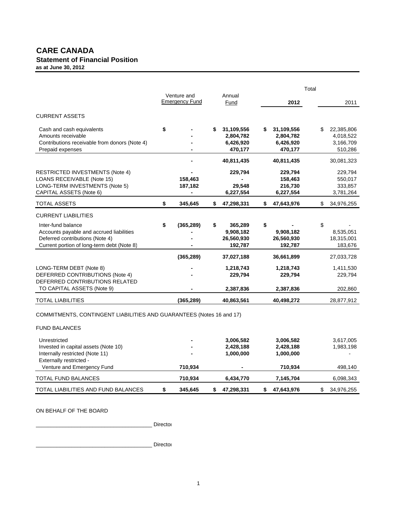#### **CARE CANADA Statement of Financial Position as at June 30, 2012**

|                                                                                                                                                 |    |                                      |    |                                                 | Total                                                 |    |                                                 |  |  |
|-------------------------------------------------------------------------------------------------------------------------------------------------|----|--------------------------------------|----|-------------------------------------------------|-------------------------------------------------------|----|-------------------------------------------------|--|--|
|                                                                                                                                                 |    | Venture and<br><b>Emergency Fund</b> |    | Annual<br>Fund                                  | 2012                                                  |    | 2011                                            |  |  |
| <b>CURRENT ASSETS</b>                                                                                                                           |    |                                      |    |                                                 |                                                       |    |                                                 |  |  |
| Cash and cash equivalents<br>Amounts receivable<br>Contributions receivable from donors (Note 4)<br>Prepaid expenses                            | \$ |                                      | \$ | 31,109,556<br>2,804,782<br>6,426,920<br>470,177 | \$<br>31,109,556<br>2,804,782<br>6,426,920<br>470,177 | \$ | 22,385,806<br>4,018,522<br>3,166,709<br>510,286 |  |  |
|                                                                                                                                                 |    |                                      |    | 40,811,435                                      | 40,811,435                                            |    | 30,081,323                                      |  |  |
| <b>RESTRICTED INVESTMENTS (Note 4)</b><br><b>LOANS RECEIVABLE (Note 15)</b><br>LONG-TERM INVESTMENTS (Note 5)<br>CAPITAL ASSETS (Note 6)        |    | 158,463<br>187,182                   |    | 229,794<br>29,548<br>6,227,554                  | 229,794<br>158,463<br>216,730<br>6,227,554            |    | 229,794<br>550,017<br>333,857<br>3,781,264      |  |  |
| <b>TOTAL ASSETS</b>                                                                                                                             | \$ | 345,645                              | S  | 47,298,331                                      | \$<br>47,643,976                                      | \$ | 34,976,255                                      |  |  |
| <b>CURRENT LIABILITIES</b>                                                                                                                      |    |                                      |    |                                                 |                                                       |    |                                                 |  |  |
| Inter-fund balance<br>Accounts payable and accrued liabilities<br>Deferred contributions (Note 4)<br>Current portion of long-term debt (Note 8) | \$ | (365, 289)                           | \$ | 365,289<br>9,908,182<br>26,560,930<br>192,787   | \$<br>9,908,182<br>26,560,930<br>192,787              | \$ | 8,535,051<br>18,315,001<br>183,676              |  |  |
|                                                                                                                                                 |    | (365, 289)                           |    | 37,027,188                                      | 36,661,899                                            |    | 27,033,728                                      |  |  |
| LONG-TERM DEBT (Note 8)<br>DEFERRED CONTRIBUTIONS (Note 4)<br>DEFERRED CONTRIBUTIONS RELATED                                                    |    |                                      |    | 1,218,743<br>229,794                            | 1,218,743<br>229,794                                  |    | 1,411,530<br>229,794                            |  |  |
| TO CAPITAL ASSETS (Note 9)                                                                                                                      |    |                                      |    | 2,387,836                                       | 2,387,836                                             |    | 202,860                                         |  |  |
| <b>TOTAL LIABILITIES</b>                                                                                                                        |    | (365, 289)                           |    | 40,863,561                                      | 40,498,272                                            |    | 28,877,912                                      |  |  |
| COMMITMENTS, CONTINGENT LIABILITIES AND GUARANTEES (Notes 16 and 17)                                                                            |    |                                      |    |                                                 |                                                       |    |                                                 |  |  |

#### FUND BALANCES

| Unrestricted                         |         | 3,006,582  | 3,006,582  | 3,617,005  |
|--------------------------------------|---------|------------|------------|------------|
| Invested in capital assets (Note 10) | -       | 2,428,188  | 2,428,188  | 1,983,198  |
| Internally restricted (Note 11)      | ۰       | 1,000,000  | 1,000,000  | -          |
| Externally restricted -              |         |            |            |            |
| Venture and Emergency Fund           | 710.934 |            | 710.934    | 498,140    |
| TOTAL FUND BALANCES                  | 710.934 | 6,434,770  | 7.145.704  | 6,098,343  |
| TOTAL LIABILITIES AND FUND BALANCES  | 345.645 | 47.298.331 | 47,643,976 | 34,976,255 |

#### ON BEHALF OF THE BOARD

\_\_\_\_\_\_\_\_\_\_\_\_\_\_\_\_\_\_\_\_\_\_\_\_\_\_\_\_\_\_\_\_\_\_\_\_\_\_\_ Director

\_\_\_\_\_\_\_\_\_\_\_\_\_\_\_\_\_\_\_\_\_\_\_\_\_\_\_\_\_\_\_\_\_\_\_\_\_\_\_ Director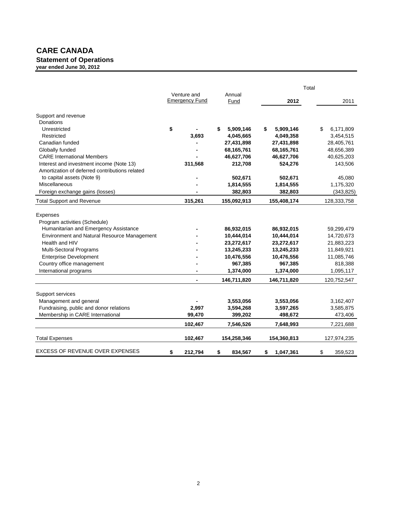## **CARE CANADA Statement of Operations**

**year ended June 30, 2012**

|                                                |                                      |                 |                 | Total |             |
|------------------------------------------------|--------------------------------------|-----------------|-----------------|-------|-------------|
|                                                | Venture and<br><b>Emergency Fund</b> | Annual<br>Fund  | 2012            |       | 2011        |
| Support and revenue                            |                                      |                 |                 |       |             |
| Donations                                      |                                      |                 |                 |       |             |
| Unrestricted                                   | \$                                   | \$<br>5,909,146 | \$<br>5,909,146 | \$    | 6,171,809   |
| Restricted                                     | 3,693                                | 4,045,665       | 4,049,358       |       | 3,454,515   |
| Canadian funded                                |                                      | 27,431,898      | 27,431,898      |       | 28,405,761  |
| Globally funded                                |                                      | 68,165,761      | 68,165,761      |       | 48,656,389  |
| <b>CARE</b> International Members              |                                      | 46,627,706      | 46,627,706      |       | 40,625,203  |
| Interest and investment income (Note 13)       | 311,568                              | 212,708         | 524,276         |       | 143,506     |
| Amortization of deferred contributions related |                                      |                 |                 |       |             |
| to capital assets (Note 9)                     |                                      | 502,671         | 502,671         |       | 45,080      |
| Miscellaneous                                  |                                      | 1,814,555       | 1,814,555       |       | 1,175,320   |
| Foreign exchange gains (losses)                |                                      | 382,803         | 382,803         |       | (343, 825)  |
| <b>Total Support and Revenue</b>               | 315,261                              | 155,092,913     | 155,408,174     |       | 128,333,758 |
| Expenses                                       |                                      |                 |                 |       |             |
| Program activities (Schedule)                  |                                      |                 |                 |       |             |
| Humanitarian and Emergency Assistance          |                                      | 86,932,015      | 86,932,015      |       | 59,299,479  |
| Environment and Natural Resource Management    |                                      | 10,444,014      | 10,444,014      |       | 14,720,673  |
| Health and HIV                                 |                                      | 23,272,617      | 23,272,617      |       | 21,883,223  |
| Multi-Sectoral Programs                        |                                      | 13,245,233      | 13,245,233      |       | 11,849,921  |
| <b>Enterprise Development</b>                  |                                      | 10,476,556      | 10,476,556      |       | 11,085,746  |
| Country office management                      |                                      | 967,385         | 967,385         |       | 818,388     |
| International programs                         |                                      | 1,374,000       | 1,374,000       |       | 1,095,117   |
|                                                |                                      | 146,711,820     | 146,711,820     |       | 120,752,547 |
| Support services                               |                                      |                 |                 |       |             |
| Management and general                         |                                      | 3,553,056       | 3,553,056       |       | 3,162,407   |
| Fundraising, public and donor relations        | 2,997                                | 3,594,268       | 3,597,265       |       | 3,585,875   |
| Membership in CARE International               | 99,470                               | 399,202         | 498,672         |       | 473,406     |
|                                                | 102,467                              | 7,546,526       | 7,648,993       |       | 7,221,688   |
| <b>Total Expenses</b>                          | 102,467                              | 154,258,346     | 154,360,813     |       | 127,974,235 |
| <b>EXCESS OF REVENUE OVER EXPENSES</b>         | \$<br>212,794                        | \$<br>834,567   | \$<br>1,047,361 | \$    | 359,523     |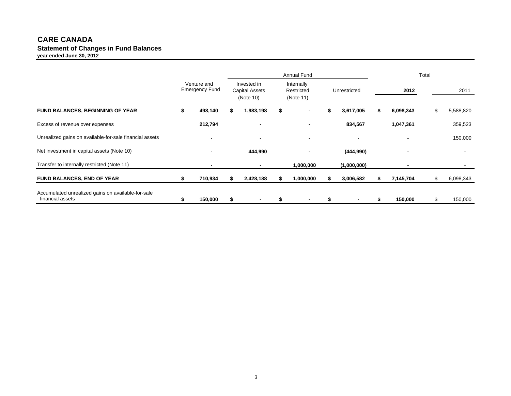#### **CARE CANADA Statement of Changes in Fund Balances year ended June 30, 2012**

|                                                                        |   |                                      |                                                   | <b>Annual Fund</b>                    |    |                |    |           | Total |                 |
|------------------------------------------------------------------------|---|--------------------------------------|---------------------------------------------------|---------------------------------------|----|----------------|----|-----------|-------|-----------------|
|                                                                        |   | Venture and<br><b>Emergency Fund</b> | Invested in<br><b>Capital Assets</b><br>(Note 10) | Internally<br>Restricted<br>(Note 11) |    | Unrestricted   |    | 2012      |       | 2011            |
| <b>FUND BALANCES, BEGINNING OF YEAR</b>                                |   | 498,140                              | 1,983,198                                         | \$                                    | \$ | 3,617,005      | \$ | 6,098,343 |       | \$<br>5,588,820 |
| Excess of revenue over expenses                                        |   | 212,794                              | $\blacksquare$                                    |                                       |    | 834,567        |    | 1,047,361 |       | 359,523         |
| Unrealized gains on available-for-sale financial assets                |   | $\overline{\phantom{0}}$             | $\blacksquare$                                    | $\overline{\phantom{0}}$              |    | $\blacksquare$ |    |           |       | 150,000         |
| Net investment in capital assets (Note 10)                             |   |                                      | 444,990                                           |                                       |    | (444,990)      |    |           |       |                 |
| Transfer to internally restricted (Note 11)                            |   |                                      | $\blacksquare$                                    | 1,000,000                             |    | (1,000,000)    |    |           |       |                 |
| <b>FUND BALANCES, END OF YEAR</b>                                      |   | 710,934                              | 2,428,188                                         | 1,000,000                             |    | 3,006,582      | \$ | 7,145,704 |       | \$<br>6,098,343 |
| Accumulated unrealized gains on available-for-sale<br>financial assets | S | 150,000                              |                                                   |                                       | S  |                | S  | 150,000   |       | \$<br>150,000   |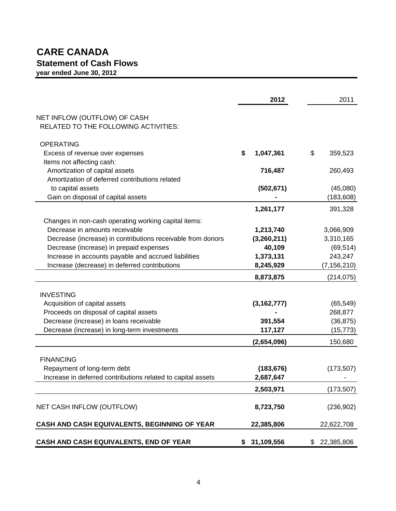# **CARE CANADA Statement of Cash Flows**

**year ended June 30, 2012**

|                                                                                               | 2012                     | 2011                   |
|-----------------------------------------------------------------------------------------------|--------------------------|------------------------|
| NET INFLOW (OUTFLOW) OF CASH                                                                  |                          |                        |
| RELATED TO THE FOLLOWING ACTIVITIES:                                                          |                          |                        |
| <b>OPERATING</b>                                                                              |                          |                        |
| Excess of revenue over expenses                                                               | \$<br>1,047,361          | \$<br>359,523          |
| Items not affecting cash:                                                                     |                          |                        |
| Amortization of capital assets<br>Amortization of deferred contributions related              | 716,487                  | 260,493                |
| to capital assets                                                                             | (502, 671)               | (45,080)               |
| Gain on disposal of capital assets                                                            |                          | (183, 608)             |
|                                                                                               | 1,261,177                | 391,328                |
|                                                                                               |                          |                        |
| Changes in non-cash operating working capital items:                                          |                          |                        |
| Decrease in amounts receivable<br>Decrease (increase) in contributions receivable from donors | 1,213,740<br>(3,260,211) | 3,066,909<br>3,310,165 |
| Decrease (increase) in prepaid expenses                                                       | 40,109                   | (69, 514)              |
| Increase in accounts payable and accrued liabilities                                          | 1,373,131                | 243,247                |
| Increase (decrease) in deferred contributions                                                 | 8,245,929                | (7, 156, 210)          |
|                                                                                               | 8,873,875                | (214, 075)             |
|                                                                                               |                          |                        |
| <b>INVESTING</b>                                                                              |                          |                        |
| Acquisition of capital assets<br>Proceeds on disposal of capital assets                       | (3, 162, 777)            | (65, 549)<br>268,877   |
| Decrease (increase) in loans receivable                                                       | 391,554                  | (36, 875)              |
| Decrease (increase) in long-term investments                                                  | 117,127                  | (15, 773)              |
|                                                                                               | (2,654,096)              | 150,680                |
|                                                                                               |                          |                        |
| <b>FINANCING</b>                                                                              |                          |                        |
| Repayment of long-term debt                                                                   | (183, 676)               | (173, 507)             |
| Increase in deferred contributions related to capital assets                                  | 2,687,647                |                        |
|                                                                                               | 2,503,971                | (173, 507)             |
| NET CASH INFLOW (OUTFLOW)                                                                     | 8,723,750                | (236, 902)             |
| CASH AND CASH EQUIVALENTS, BEGINNING OF YEAR                                                  | 22,385,806               | 22,622,708             |
| CASH AND CASH EQUIVALENTS, END OF YEAR                                                        | \$31,109,556             | \$<br>22,385,806       |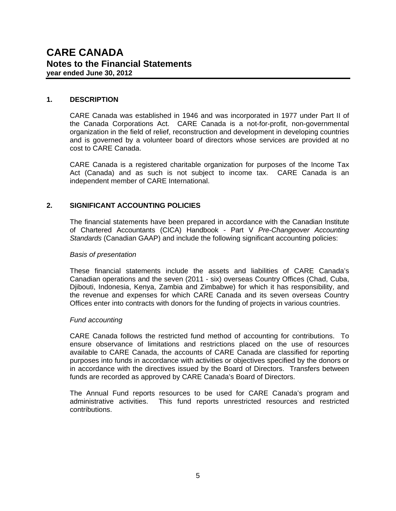#### **1. DESCRIPTION**

CARE Canada was established in 1946 and was incorporated in 1977 under Part II of the Canada Corporations Act. CARE Canada is a not-for-profit, non-governmental organization in the field of relief, reconstruction and development in developing countries and is governed by a volunteer board of directors whose services are provided at no cost to CARE Canada.

CARE Canada is a registered charitable organization for purposes of the Income Tax Act (Canada) and as such is not subject to income tax. CARE Canada is an independent member of CARE International.

#### **2. SIGNIFICANT ACCOUNTING POLICIES**

The financial statements have been prepared in accordance with the Canadian Institute of Chartered Accountants (CICA) Handbook - Part V *Pre-Changeover Accounting Standards* (Canadian GAAP) and include the following significant accounting policies:

#### *Basis of presentation*

 These financial statements include the assets and liabilities of CARE Canada's Canadian operations and the seven (2011 - six) overseas Country Offices (Chad, Cuba, Djibouti, Indonesia, Kenya, Zambia and Zimbabwe) for which it has responsibility, and the revenue and expenses for which CARE Canada and its seven overseas Country Offices enter into contracts with donors for the funding of projects in various countries.

#### *Fund accounting*

 CARE Canada follows the restricted fund method of accounting for contributions. To ensure observance of limitations and restrictions placed on the use of resources available to CARE Canada, the accounts of CARE Canada are classified for reporting purposes into funds in accordance with activities or objectives specified by the donors or in accordance with the directives issued by the Board of Directors. Transfers between funds are recorded as approved by CARE Canada's Board of Directors.

 The Annual Fund reports resources to be used for CARE Canada's program and administrative activities. This fund reports unrestricted resources and restricted contributions.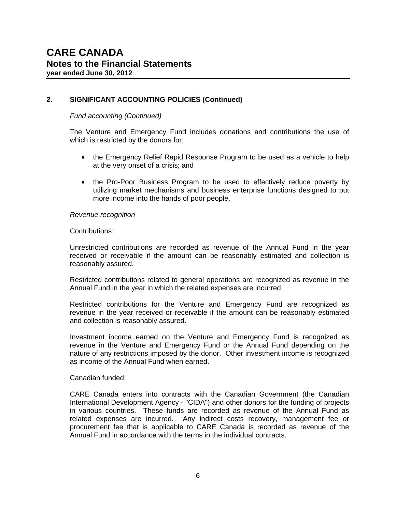#### *Fund accounting (Continued)*

The Venture and Emergency Fund includes donations and contributions the use of which is restricted by the donors for:

- the Emergency Relief Rapid Response Program to be used as a vehicle to help at the very onset of a crisis; and
- the Pro-Poor Business Program to be used to effectively reduce poverty by utilizing market mechanisms and business enterprise functions designed to put more income into the hands of poor people.

#### *Revenue recognition*

#### Contributions:

 Unrestricted contributions are recorded as revenue of the Annual Fund in the year received or receivable if the amount can be reasonably estimated and collection is reasonably assured.

Restricted contributions related to general operations are recognized as revenue in the Annual Fund in the year in which the related expenses are incurred.

 Restricted contributions for the Venture and Emergency Fund are recognized as revenue in the year received or receivable if the amount can be reasonably estimated and collection is reasonably assured.

 Investment income earned on the Venture and Emergency Fund is recognized as revenue in the Venture and Emergency Fund or the Annual Fund depending on the nature of any restrictions imposed by the donor. Other investment income is recognized as income of the Annual Fund when earned.

#### Canadian funded:

 CARE Canada enters into contracts with the Canadian Government (the Canadian International Development Agency - "CIDA") and other donors for the funding of projects in various countries. These funds are recorded as revenue of the Annual Fund as related expenses are incurred. Any indirect costs recovery, management fee or procurement fee that is applicable to CARE Canada is recorded as revenue of the Annual Fund in accordance with the terms in the individual contracts.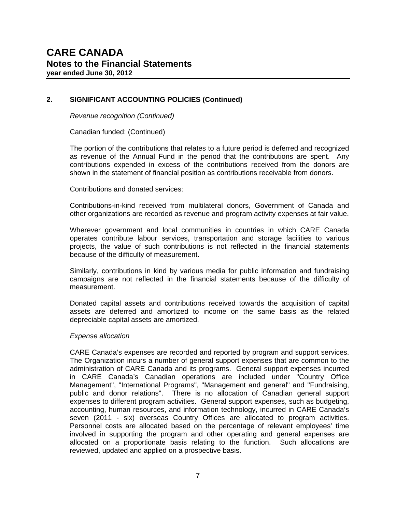*Revenue recognition (Continued)* 

Canadian funded: (Continued)

 The portion of the contributions that relates to a future period is deferred and recognized as revenue of the Annual Fund in the period that the contributions are spent. Any contributions expended in excess of the contributions received from the donors are shown in the statement of financial position as contributions receivable from donors.

Contributions and donated services:

Contributions-in-kind received from multilateral donors, Government of Canada and other organizations are recorded as revenue and program activity expenses at fair value.

Wherever government and local communities in countries in which CARE Canada operates contribute labour services, transportation and storage facilities to various projects, the value of such contributions is not reflected in the financial statements because of the difficulty of measurement.

Similarly, contributions in kind by various media for public information and fundraising campaigns are not reflected in the financial statements because of the difficulty of measurement.

Donated capital assets and contributions received towards the acquisition of capital assets are deferred and amortized to income on the same basis as the related depreciable capital assets are amortized.

#### *Expense allocation*

CARE Canada's expenses are recorded and reported by program and support services. The Organization incurs a number of general support expenses that are common to the administration of CARE Canada and its programs. General support expenses incurred in CARE Canada's Canadian operations are included under "Country Office Management", "International Programs", "Management and general" and "Fundraising, public and donor relations". There is no allocation of Canadian general support expenses to different program activities. General support expenses, such as budgeting, accounting, human resources, and information technology, incurred in CARE Canada's seven (2011 - six) overseas Country Offices are allocated to program activities. Personnel costs are allocated based on the percentage of relevant employees' time involved in supporting the program and other operating and general expenses are allocated on a proportionate basis relating to the function. Such allocations are reviewed, updated and applied on a prospective basis.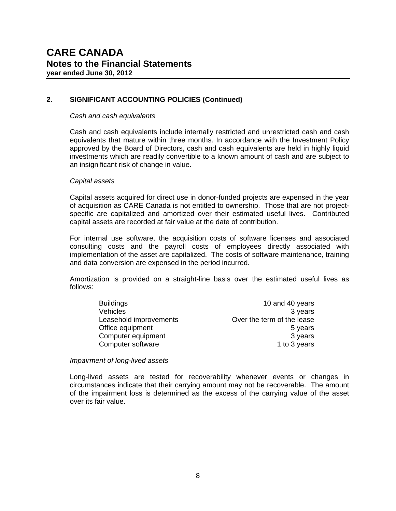#### *Cash and cash equivalents*

Cash and cash equivalents include internally restricted and unrestricted cash and cash equivalents that mature within three months. In accordance with the Investment Policy approved by the Board of Directors, cash and cash equivalents are held in highly liquid investments which are readily convertible to a known amount of cash and are subject to an insignificant risk of change in value.

#### *Capital assets*

Capital assets acquired for direct use in donor-funded projects are expensed in the year of acquisition as CARE Canada is not entitled to ownership. Those that are not projectspecific are capitalized and amortized over their estimated useful lives. Contributed capital assets are recorded at fair value at the date of contribution.

For internal use software, the acquisition costs of software licenses and associated consulting costs and the payroll costs of employees directly associated with implementation of the asset are capitalized. The costs of software maintenance, training and data conversion are expensed in the period incurred.

Amortization is provided on a straight-line basis over the estimated useful lives as follows:

| <b>Buildings</b>       | 10 and 40 years            |
|------------------------|----------------------------|
| <b>Vehicles</b>        | 3 years                    |
| Leasehold improvements | Over the term of the lease |
| Office equipment       | 5 years                    |
| Computer equipment     | 3 years                    |
| Computer software      | 1 to 3 years               |

#### *Impairment of long-lived assets*

Long-lived assets are tested for recoverability whenever events or changes in circumstances indicate that their carrying amount may not be recoverable. The amount of the impairment loss is determined as the excess of the carrying value of the asset over its fair value.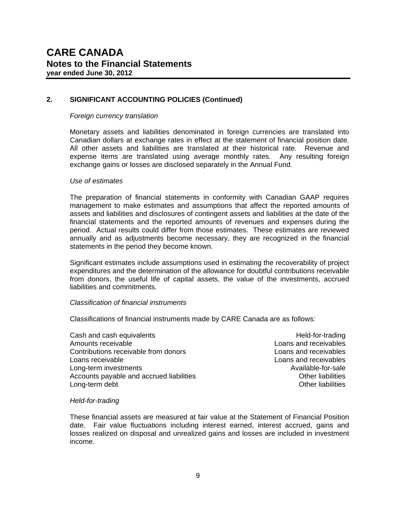#### *Foreign currency translation*

Monetary assets and liabilities denominated in foreign currencies are translated into Canadian dollars at exchange rates in effect at the statement of financial position date. All other assets and liabilities are translated at their historical rate. Revenue and expense items are translated using average monthly rates. Any resulting foreign exchange gains or losses are disclosed separately in the Annual Fund.

#### *Use of estimates*

The preparation of financial statements in conformity with Canadian GAAP requires management to make estimates and assumptions that affect the reported amounts of assets and liabilities and disclosures of contingent assets and liabilities at the date of the financial statements and the reported amounts of revenues and expenses during the period. Actual results could differ from those estimates. These estimates are reviewed annually and as adjustments become necessary, they are recognized in the financial statements in the period they become known.

Significant estimates include assumptions used in estimating the recoverability of project expenditures and the determination of the allowance for doubtful contributions receivable from donors, the useful life of capital assets, the value of the investments, accrued liabilities and commitments.

#### *Classification of financial instruments*

Classifications of financial instruments made by CARE Canada are as follows:

- Cash and cash equivalents **Held-for-trading** Held-for-trading Amounts receivable **Loans and receivables** Contributions receivable from donors Contributions and receivables Loans receivable Loans and receivables Long-term investments Available-for-sale Available-for-sale Accounts payable and accrued liabilities **Accounts** Dether liabilities Long-term debt **Contract Contract Contract Contract Contract Contract Contract Contract Contract Contract Contract Contract Contract Contract Contract Contract Contract Contract Contract Contract Contract Contract Contract**
- 

#### *Held-for-trading*

These financial assets are measured at fair value at the Statement of Financial Position date. Fair value fluctuations including interest earned, interest accrued, gains and losses realized on disposal and unrealized gains and losses are included in investment income.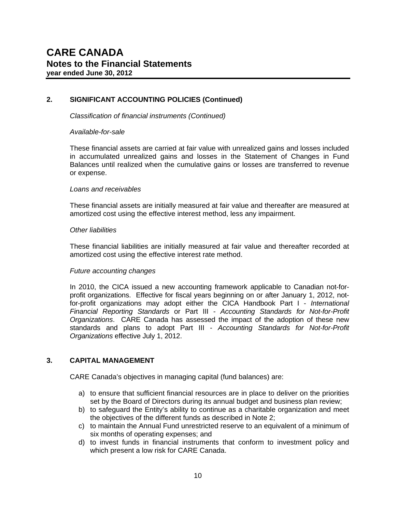*Classification of financial instruments (Continued)* 

#### *Available-for-sale*

These financial assets are carried at fair value with unrealized gains and losses included in accumulated unrealized gains and losses in the Statement of Changes in Fund Balances until realized when the cumulative gains or losses are transferred to revenue or expense.

#### *Loans and receivables*

These financial assets are initially measured at fair value and thereafter are measured at amortized cost using the effective interest method, less any impairment.

#### *Other liabilities*

These financial liabilities are initially measured at fair value and thereafter recorded at amortized cost using the effective interest rate method.

#### *Future accounting changes*

In 2010, the CICA issued a new accounting framework applicable to Canadian not-forprofit organizations. Effective for fiscal years beginning on or after January 1, 2012, notfor-profit organizations may adopt either the CICA Handbook Part I - *International Financial Reporting Standards* or Part III - *Accounting Standards for Not-for-Profit Organizations*. CARE Canada has assessed the impact of the adoption of these new standards and plans to adopt Part III - *Accounting Standards for Not-for-Profit Organizations* effective July 1, 2012.

#### **3. CAPITAL MANAGEMENT**

CARE Canada's objectives in managing capital (fund balances) are:

- a) to ensure that sufficient financial resources are in place to deliver on the priorities set by the Board of Directors during its annual budget and business plan review;
- b) to safeguard the Entity's ability to continue as a charitable organization and meet the objectives of the different funds as described in Note 2;
- c) to maintain the Annual Fund unrestricted reserve to an equivalent of a minimum of six months of operating expenses; and
- d) to invest funds in financial instruments that conform to investment policy and which present a low risk for CARE Canada.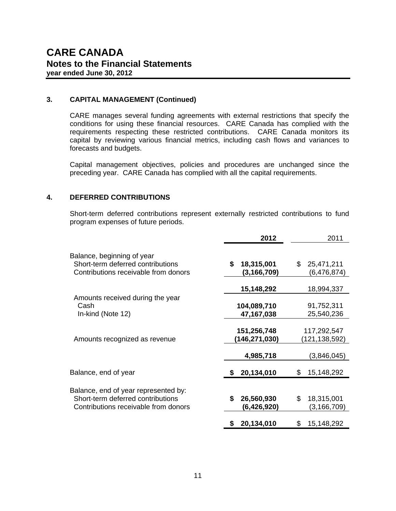#### **3. CAPITAL MANAGEMENT (Continued)**

CARE manages several funding agreements with external restrictions that specify the conditions for using these financial resources. CARE Canada has complied with the requirements respecting these restricted contributions. CARE Canada monitors its capital by reviewing various financial metrics, including cash flows and variances to forecasts and budgets.

Capital management objectives, policies and procedures are unchanged since the preceding year. CARE Canada has complied with all the capital requirements.

#### **4. DEFERRED CONTRIBUTIONS**

Short-term deferred contributions represent externally restricted contributions to fund program expenses of future periods.

|                                                                                                                   | 2012                            | 2011                               |
|-------------------------------------------------------------------------------------------------------------------|---------------------------------|------------------------------------|
| Balance, beginning of year<br>Short-term deferred contributions<br>Contributions receivable from donors           | \$<br>18,315,001<br>(3,166,709) | \$<br>25,471,211<br>(6,476,874)    |
| Amounts received during the year                                                                                  | 15,148,292                      | 18,994,337                         |
| Cash<br>In-kind (Note 12)                                                                                         | 104,089,710<br>47,167,038       | 91,752,311<br>25,540,236           |
| Amounts recognized as revenue                                                                                     | 151,256,748<br>(146,271,030)    | 117,292,547<br>(121,138,592)       |
|                                                                                                                   | 4,985,718                       | (3,846,045)                        |
| Balance, end of year                                                                                              | 20,134,010                      | 15,148,292<br>\$                   |
| Balance, end of year represented by:<br>Short-term deferred contributions<br>Contributions receivable from donors | 26,560,930<br>S.<br>(6,426,920) | \$.<br>18,315,001<br>(3, 166, 709) |
|                                                                                                                   | 20,134,010<br>\$                | 15,148,292<br>\$                   |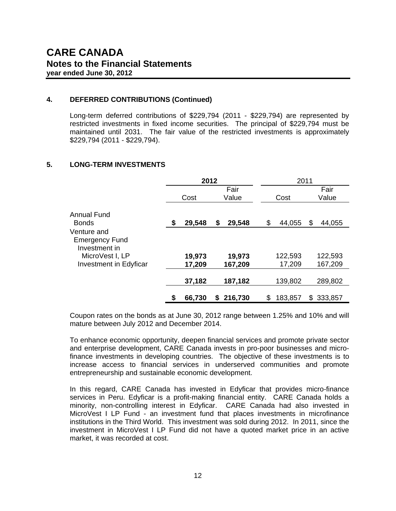#### **4. DEFERRED CONTRIBUTIONS (Continued)**

Long-term deferred contributions of \$229,794 (2011 - \$229,794) are represented by restricted investments in fixed income securities. The principal of \$229,794 must be maintained until 2031. The fair value of the restricted investments is approximately \$229,794 (2011 - \$229,794).

#### **5. LONG-TERM INVESTMENTS**

|                                                       | 2012 |        |    |         | 2011 |         |     |         |
|-------------------------------------------------------|------|--------|----|---------|------|---------|-----|---------|
|                                                       |      |        |    | Fair    |      |         |     | Fair    |
|                                                       |      | Cost   |    | Value   |      | Cost    |     | Value   |
| <b>Annual Fund</b><br><b>Bonds</b>                    | S    | 29,548 | \$ | 29,548  | \$   | 44,055  | \$  | 44,055  |
| Venture and<br><b>Emergency Fund</b><br>Investment in |      |        |    |         |      |         |     |         |
| MicroVest I, LP                                       |      | 19,973 |    | 19,973  |      | 122,593 |     | 122,593 |
| <b>Investment in Edyficar</b>                         |      | 17,209 |    | 167,209 |      | 17,209  |     | 167,209 |
|                                                       |      | 37,182 |    | 187,182 |      | 139,802 |     | 289,802 |
|                                                       | \$   | 66,730 | S. | 216,730 | \$   | 183,857 | \$. | 333,857 |

Coupon rates on the bonds as at June 30, 2012 range between 1.25% and 10% and will mature between July 2012 and December 2014.

To enhance economic opportunity, deepen financial services and promote private sector and enterprise development, CARE Canada invests in pro-poor businesses and microfinance investments in developing countries. The objective of these investments is to increase access to financial services in underserved communities and promote entrepreneurship and sustainable economic development.

In this regard, CARE Canada has invested in Edyficar that provides micro-finance services in Peru. Edyficar is a profit-making financial entity. CARE Canada holds a minority, non-controlling interest in Edyficar. CARE Canada had also invested in MicroVest I LP Fund - an investment fund that places investments in microfinance institutions in the Third World. This investment was sold during 2012. In 2011, since the investment in MicroVest I LP Fund did not have a quoted market price in an active market, it was recorded at cost.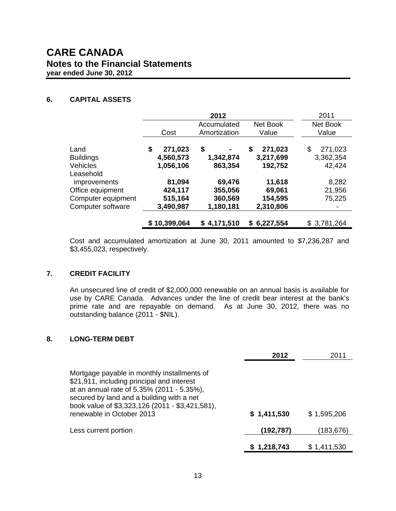## **CARE CANADA Notes to the Financial Statements year ended June 30, 2012**

#### **6. CAPITAL ASSETS**

|                                                             |                                        | 2012                            |                                       | 2011                                 |
|-------------------------------------------------------------|----------------------------------------|---------------------------------|---------------------------------------|--------------------------------------|
|                                                             | Cost                                   | Accumulated<br>Amortization     | Net Book<br>Value                     | Net Book<br>Value                    |
| Land<br><b>Buildings</b><br>Vehicles                        | 271,023<br>S<br>4,560,573<br>1,056,106 | \$<br>1,342,874<br>863,354      | 271,023<br>\$<br>3,217,699<br>192,752 | \$<br>271,023<br>3,362,354<br>42,424 |
| Leasehold<br><i>improvements</i>                            | 81,094                                 | 69,476                          | 11,618                                | 8,282                                |
| Office equipment<br>Computer equipment<br>Computer software | 424,117<br>515,164<br>3,490,987        | 355,056<br>360,569<br>1,180,181 | 69,061<br>154,595<br>2,310,806        | 21,956<br>75,225                     |
|                                                             | \$10,399,064                           | \$4,171,510                     | \$6,227,554                           | \$3,781,264                          |

Cost and accumulated amortization at June 30, 2011 amounted to \$7,236,287 and \$3,455,023, respectively.

#### **7. CREDIT FACILITY**

An unsecured line of credit of \$2,000,000 renewable on an annual basis is available for use by CARE Canada. Advances under the line of credit bear interest at the bank's prime rate and are repayable on demand. As at June 30, 2012, there was no outstanding balance (2011 - \$NIL).

#### **8. LONG-TERM DEBT**

|                                                                                                                                                                                                                                                                      | 2012        | 2011        |
|----------------------------------------------------------------------------------------------------------------------------------------------------------------------------------------------------------------------------------------------------------------------|-------------|-------------|
| Mortgage payable in monthly installments of<br>\$21,911, including principal and interest<br>at an annual rate of 5.35% (2011 - 5.35%),<br>secured by land and a building with a net<br>book value of \$3,323,126 (2011 - \$3,421,581),<br>renewable in October 2013 | \$1,411,530 | \$1,595,206 |
| Less current portion                                                                                                                                                                                                                                                 | (192,787)   | (183,676)   |
|                                                                                                                                                                                                                                                                      | \$1,218,743 | \$1,411,530 |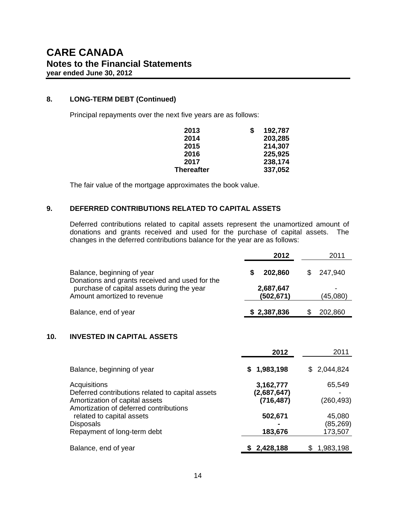#### **8. LONG-TERM DEBT (Continued)**

Principal repayments over the next five years are as follows:

| 2013              | S | 192,787 |
|-------------------|---|---------|
| 2014              |   | 203,285 |
| 2015              |   | 214,307 |
| 2016              |   | 225,925 |
| 2017              |   | 238,174 |
| <b>Thereafter</b> |   | 337,052 |

The fair value of the mortgage approximates the book value.

#### **9. DEFERRED CONTRIBUTIONS RELATED TO CAPITAL ASSETS**

Deferred contributions related to capital assets represent the unamortized amount of donations and grants received and used for the purchase of capital assets. The changes in the deferred contributions balance for the year are as follows:

|                                                                              | 2012                    | 2011     |
|------------------------------------------------------------------------------|-------------------------|----------|
| Balance, beginning of year<br>Donations and grants received and used for the | 202,860                 | 247,940  |
| purchase of capital assets during the year<br>Amount amortized to revenue    | 2,687,647<br>(502, 671) | (45,080) |
| Balance, end of year                                                         | \$2,387,836             | 202,860  |

#### **10. INVESTED IN CAPITAL ASSETS**

|                                                                          | 2012                     | 2011           |
|--------------------------------------------------------------------------|--------------------------|----------------|
| Balance, beginning of year                                               | \$1,983,198              | \$2,044,824    |
| Acquisitions<br>Deferred contributions related to capital assets         | 3,162,777<br>(2,687,647) | 65,549         |
| Amortization of capital assets<br>Amortization of deferred contributions | (716, 487)               | (260, 493)     |
| related to capital assets                                                | 502,671                  | 45,080         |
| <b>Disposals</b>                                                         |                          | (85, 269)      |
| Repayment of long-term debt                                              | 183,676                  | 173,507        |
| Balance, end of year                                                     | \$2,428,188              | S<br>1,983,198 |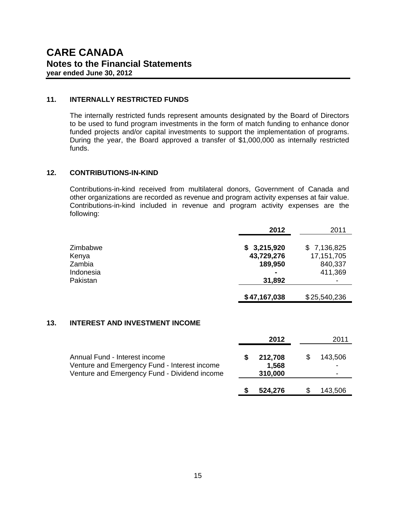#### **11. INTERNALLY RESTRICTED FUNDS**

The internally restricted funds represent amounts designated by the Board of Directors to be used to fund program investments in the form of match funding to enhance donor funded projects and/or capital investments to support the implementation of programs. During the year, the Board approved a transfer of \$1,000,000 as internally restricted funds.

#### **12. CONTRIBUTIONS-IN-KIND**

Contributions-in-kind received from multilateral donors, Government of Canada and other organizations are recorded as revenue and program activity expenses at fair value. Contributions-in-kind included in revenue and program activity expenses are the following:

|           | 2012         | 2011         |
|-----------|--------------|--------------|
| Zimbabwe  | \$3,215,920  | \$7,136,825  |
| Kenya     | 43,729,276   | 17,151,705   |
| Zambia    | 189,950      | 840,337      |
| Indonesia | ٠            | 411,369      |
| Pakistan  | 31,892       |              |
|           | \$47,167,038 | \$25,540,236 |

#### **13. INTEREST AND INVESTMENT INCOME**

|                                                                                                                               | 2012                        | 2011         |
|-------------------------------------------------------------------------------------------------------------------------------|-----------------------------|--------------|
| Annual Fund - Interest income<br>Venture and Emergency Fund - Interest income<br>Venture and Emergency Fund - Dividend income | 212,708<br>1,568<br>310,000 | 143,506<br>- |
|                                                                                                                               | 524,276                     | 143,506      |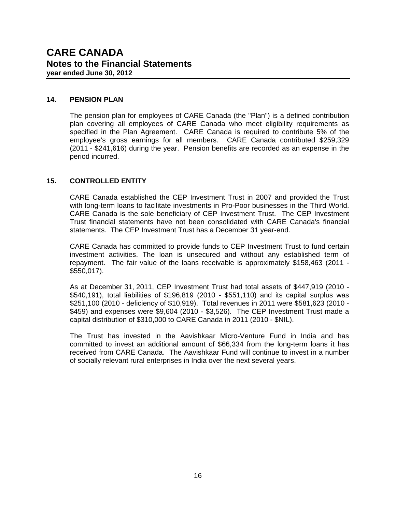#### **14. PENSION PLAN**

The pension plan for employees of CARE Canada (the "Plan") is a defined contribution plan covering all employees of CARE Canada who meet eligibility requirements as specified in the Plan Agreement. CARE Canada is required to contribute 5% of the employee's gross earnings for all members. CARE Canada contributed \$259,329 (2011 - \$241,616) during the year. Pension benefits are recorded as an expense in the period incurred.

#### **15. CONTROLLED ENTITY**

CARE Canada established the CEP Investment Trust in 2007 and provided the Trust with long-term loans to facilitate investments in Pro-Poor businesses in the Third World. CARE Canada is the sole beneficiary of CEP Investment Trust. The CEP Investment Trust financial statements have not been consolidated with CARE Canada's financial statements. The CEP Investment Trust has a December 31 year-end.

CARE Canada has committed to provide funds to CEP Investment Trust to fund certain investment activities. The loan is unsecured and without any established term of repayment. The fair value of the loans receivable is approximately \$158,463 (2011 - \$550,017).

As at December 31, 2011, CEP Investment Trust had total assets of \$447,919 (2010 - \$540,191), total liabilities of \$196,819 (2010 - \$551,110) and its capital surplus was \$251,100 (2010 - deficiency of \$10,919). Total revenues in 2011 were \$581,623 (2010 - \$459) and expenses were \$9,604 (2010 - \$3,526). The CEP Investment Trust made a capital distribution of \$310,000 to CARE Canada in 2011 (2010 - \$NIL).

The Trust has invested in the Aavishkaar Micro-Venture Fund in India and has committed to invest an additional amount of \$66,334 from the long-term loans it has received from CARE Canada. The Aavishkaar Fund will continue to invest in a number of socially relevant rural enterprises in India over the next several years.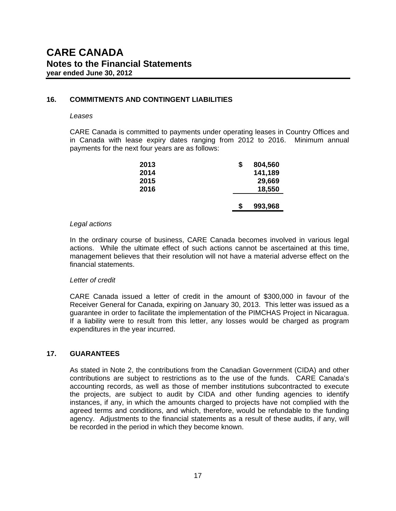#### **16. COMMITMENTS AND CONTINGENT LIABILITIES**

#### *Leases*

CARE Canada is committed to payments under operating leases in Country Offices and in Canada with lease expiry dates ranging from 2012 to 2016. Minimum annual payments for the next four years are as follows:

| 2014<br>2015<br>2016 |   | 141,189<br>29,669<br>18,550 |
|----------------------|---|-----------------------------|
|                      |   |                             |
|                      | S | 993,968                     |

#### *Legal actions*

In the ordinary course of business, CARE Canada becomes involved in various legal actions. While the ultimate effect of such actions cannot be ascertained at this time, management believes that their resolution will not have a material adverse effect on the financial statements.

#### *Letter of credit*

CARE Canada issued a letter of credit in the amount of \$300,000 in favour of the Receiver General for Canada, expiring on January 30, 2013. This letter was issued as a guarantee in order to facilitate the implementation of the PIMCHAS Project in Nicaragua. If a liability were to result from this letter, any losses would be charged as program expenditures in the year incurred.

#### **17. GUARANTEES**

As stated in Note 2, the contributions from the Canadian Government (CIDA) and other contributions are subject to restrictions as to the use of the funds. CARE Canada's accounting records, as well as those of member institutions subcontracted to execute the projects, are subject to audit by CIDA and other funding agencies to identify instances, if any, in which the amounts charged to projects have not complied with the agreed terms and conditions, and which, therefore, would be refundable to the funding agency. Adjustments to the financial statements as a result of these audits, if any, will be recorded in the period in which they become known.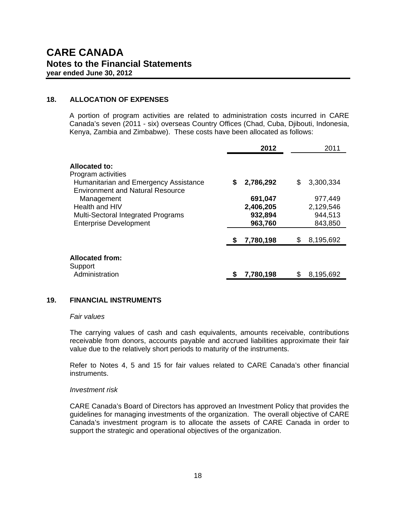#### **18. ALLOCATION OF EXPENSES**

A portion of program activities are related to administration costs incurred in CARE Canada's seven (2011 - six) overseas Country Offices (Chad, Cuba, Djibouti, Indonesia, Kenya, Zambia and Zimbabwe). These costs have been allocated as follows:

|                                                                                  |   | 2012      |    | 2011      |  |
|----------------------------------------------------------------------------------|---|-----------|----|-----------|--|
| Allocated to:<br>Program activities                                              |   |           |    |           |  |
| Humanitarian and Emergency Assistance<br><b>Environment and Natural Resource</b> | S | 2,786,292 | \$ | 3,300,334 |  |
| Management                                                                       |   | 691,047   |    | 977,449   |  |
| Health and HIV                                                                   |   | 2,406,205 |    | 2,129,546 |  |
| <b>Multi-Sectoral Integrated Programs</b>                                        |   | 932,894   |    | 944,513   |  |
| <b>Enterprise Development</b>                                                    |   | 963,760   |    | 843,850   |  |
|                                                                                  |   | 7,780,198 | S  | 8,195,692 |  |
| <b>Allocated from:</b>                                                           |   |           |    |           |  |
| Support                                                                          |   |           |    |           |  |
| Administration                                                                   |   | 7,780,198 | \$ | 8,195,692 |  |

#### **19. FINANCIAL INSTRUMENTS**

#### *Fair values*

The carrying values of cash and cash equivalents, amounts receivable, contributions receivable from donors, accounts payable and accrued liabilities approximate their fair value due to the relatively short periods to maturity of the instruments.

Refer to Notes 4, 5 and 15 for fair values related to CARE Canada's other financial instruments.

#### *Investment risk*

CARE Canada's Board of Directors has approved an Investment Policy that provides the guidelines for managing investments of the organization. The overall objective of CARE Canada's investment program is to allocate the assets of CARE Canada in order to support the strategic and operational objectives of the organization.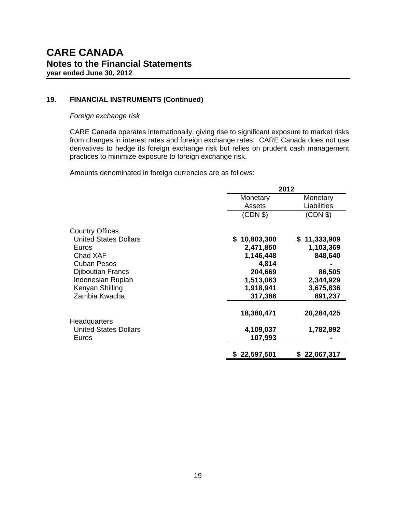#### **19. FINANCIAL INSTRUMENTS (Continued)**

*Foreign exchange risk* 

CARE Canada operates internationally, giving rise to significant exposure to market risks from changes in interest rates and foreign exchange rates. CARE Canada does not use derivatives to hedge its foreign exchange risk but relies on prudent cash management practices to minimize exposure to foreign exchange risk.

Amounts denominated in foreign currencies are as follows:

|                              |              | 2012         |
|------------------------------|--------------|--------------|
|                              | Monetary     | Monetary     |
|                              | Assets       | Liabilities  |
|                              | (CDN \$)     | (CDN \$)     |
| <b>Country Offices</b>       |              |              |
| <b>United States Dollars</b> | \$10,803,300 | \$11,333,909 |
| Euros                        | 2,471,850    | 1,103,369    |
| Chad XAF                     | 1,146,448    | 848,640      |
| <b>Cuban Pesos</b>           | 4,814        |              |
| <b>Djiboutian Francs</b>     | 204,669      | 86,505       |
| Indonesian Rupiah            | 1,513,063    | 2,344,929    |
| Kenyan Shilling              | 1,918,941    | 3,675,836    |
| Zambia Kwacha                | 317,386      | 891,237      |
|                              | 18,380,471   | 20,284,425   |
| <b>Headquarters</b>          |              |              |
| <b>United States Dollars</b> | 4,109,037    | 1,782,892    |
| Euros                        | 107,993      |              |
|                              | \$22,597,501 | \$22,067,317 |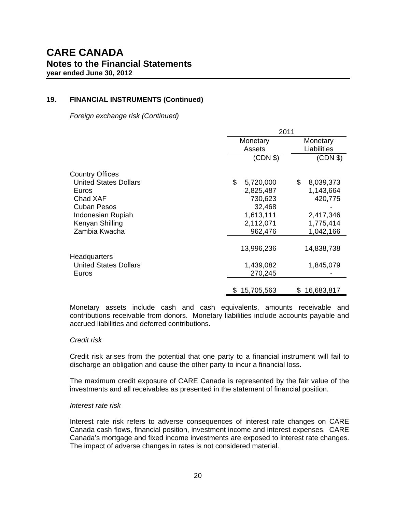#### **19. FINANCIAL INSTRUMENTS (Continued)**

*Foreign exchange risk (Continued)* 

|                                              | 2011               |                         |  |  |  |  |  |
|----------------------------------------------|--------------------|-------------------------|--|--|--|--|--|
|                                              | Monetary<br>Assets | Monetary<br>Liabilities |  |  |  |  |  |
|                                              | (CDN \$)           | (CDN \$)                |  |  |  |  |  |
| <b>Country Offices</b>                       |                    |                         |  |  |  |  |  |
| <b>United States Dollars</b>                 | \$<br>5,720,000    | \$<br>8,039,373         |  |  |  |  |  |
| Euros                                        | 2,825,487          | 1,143,664               |  |  |  |  |  |
| Chad XAF                                     | 730,623            | 420,775                 |  |  |  |  |  |
| <b>Cuban Pesos</b>                           | 32,468             |                         |  |  |  |  |  |
| Indonesian Rupiah                            | 1,613,111          | 2,417,346               |  |  |  |  |  |
| Kenyan Shilling                              | 2,112,071          | 1,775,414               |  |  |  |  |  |
| Zambia Kwacha                                | 962,476            | 1,042,166               |  |  |  |  |  |
|                                              | 13,996,236         | 14,838,738              |  |  |  |  |  |
| Headquarters<br><b>United States Dollars</b> | 1,439,082          | 1,845,079               |  |  |  |  |  |
| Euros                                        | 270,245            |                         |  |  |  |  |  |
|                                              | 15,705,563<br>\$   | 16,683,817<br>\$        |  |  |  |  |  |

Monetary assets include cash and cash equivalents, amounts receivable and contributions receivable from donors. Monetary liabilities include accounts payable and accrued liabilities and deferred contributions.

#### *Credit risk*

Credit risk arises from the potential that one party to a financial instrument will fail to discharge an obligation and cause the other party to incur a financial loss.

The maximum credit exposure of CARE Canada is represented by the fair value of the investments and all receivables as presented in the statement of financial position.

#### *Interest rate risk*

 Interest rate risk refers to adverse consequences of interest rate changes on CARE Canada cash flows, financial position, investment income and interest expenses. CARE Canada's mortgage and fixed income investments are exposed to interest rate changes. The impact of adverse changes in rates is not considered material.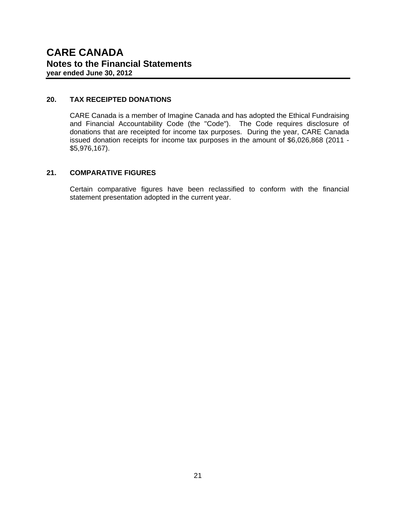#### **20. TAX RECEIPTED DONATIONS**

CARE Canada is a member of Imagine Canada and has adopted the Ethical Fundraising and Financial Accountability Code (the "Code"). The Code requires disclosure of donations that are receipted for income tax purposes. During the year, CARE Canada issued donation receipts for income tax purposes in the amount of \$6,026,868 (2011 - \$5,976,167).

#### **21. COMPARATIVE FIGURES**

Certain comparative figures have been reclassified to conform with the financial statement presentation adopted in the current year.